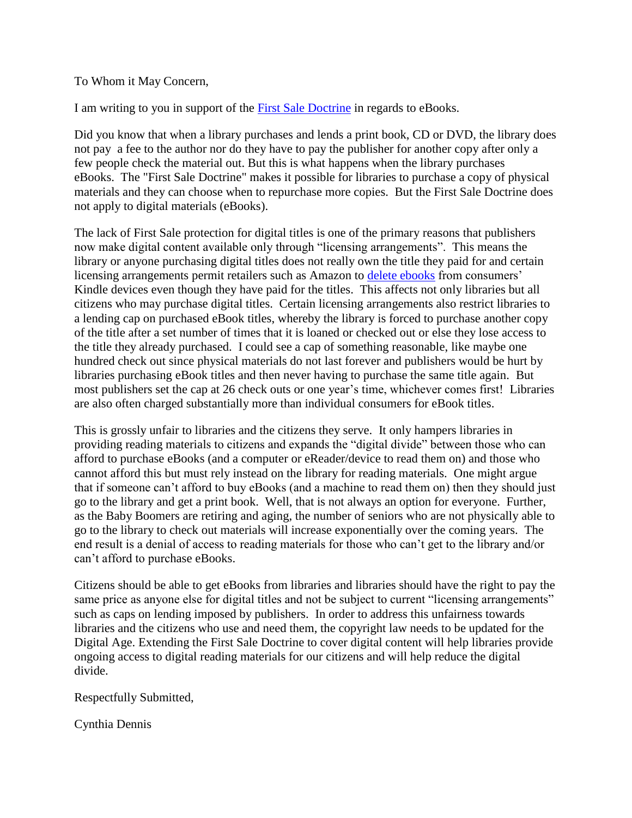To Whom it May Concern,

I am writing to you in support of the [First Sale Doctrine](http://jolt.law.harvard.edu/digest/copyright/supreme-court-holds-the-first-sale-doctrine-applicable-to-parallel-importation) in regards to eBooks.

Did you know that when a library purchases and lends a print book, CD or DVD, the library does not pay a fee to the author nor do they have to pay the publisher for another copy after only a few people check the material out. But this is what happens when the library purchases eBooks. The "First Sale Doctrine" makes it possible for libraries to purchase a copy of physical materials and they can choose when to repurchase more copies. But the First Sale Doctrine does not apply to digital materials (eBooks).

The lack of First Sale protection for digital titles is one of the primary reasons that publishers now make digital content available only through "licensing arrangements". This means the library or anyone purchasing digital titles does not really own the title they paid for and certain licensing arrangements permit retailers such as Amazon to [delete ebooks](http://io9.com/5317703/amazon-secretly-removes-1984-from-the-kindle) from consumers' Kindle devices even though they have paid for the titles. This affects not only libraries but all citizens who may purchase digital titles. Certain licensing arrangements also restrict libraries to a lending cap on purchased eBook titles, whereby the library is forced to purchase another copy of the title after a set number of times that it is loaned or checked out or else they lose access to the title they already purchased. I could see a cap of something reasonable, like maybe one hundred check out since physical materials do not last forever and publishers would be hurt by libraries purchasing eBook titles and then never having to purchase the same title again. But most publishers set the cap at 26 check outs or one year's time, whichever comes first! Libraries are also often charged substantially more than individual consumers for eBook titles.

This is grossly unfair to libraries and the citizens they serve. It only hampers libraries in providing reading materials to citizens and expands the "digital divide" between those who can afford to purchase eBooks (and a computer or eReader/device to read them on) and those who cannot afford this but must rely instead on the library for reading materials. One might argue that if someone can't afford to buy eBooks (and a machine to read them on) then they should just go to the library and get a print book. Well, that is not always an option for everyone. Further, as the Baby Boomers are retiring and aging, the number of seniors who are not physically able to go to the library to check out materials will increase exponentially over the coming years. The end result is a denial of access to reading materials for those who can't get to the library and/or can't afford to purchase eBooks.

Citizens should be able to get eBooks from libraries and libraries should have the right to pay the same price as anyone else for digital titles and not be subject to current "licensing arrangements" such as caps on lending imposed by publishers. In order to address this unfairness towards libraries and the citizens who use and need them, the copyright law needs to be updated for the Digital Age. Extending the First Sale Doctrine to cover digital content will help libraries provide ongoing access to digital reading materials for our citizens and will help reduce the digital divide.

Respectfully Submitted,

Cynthia Dennis